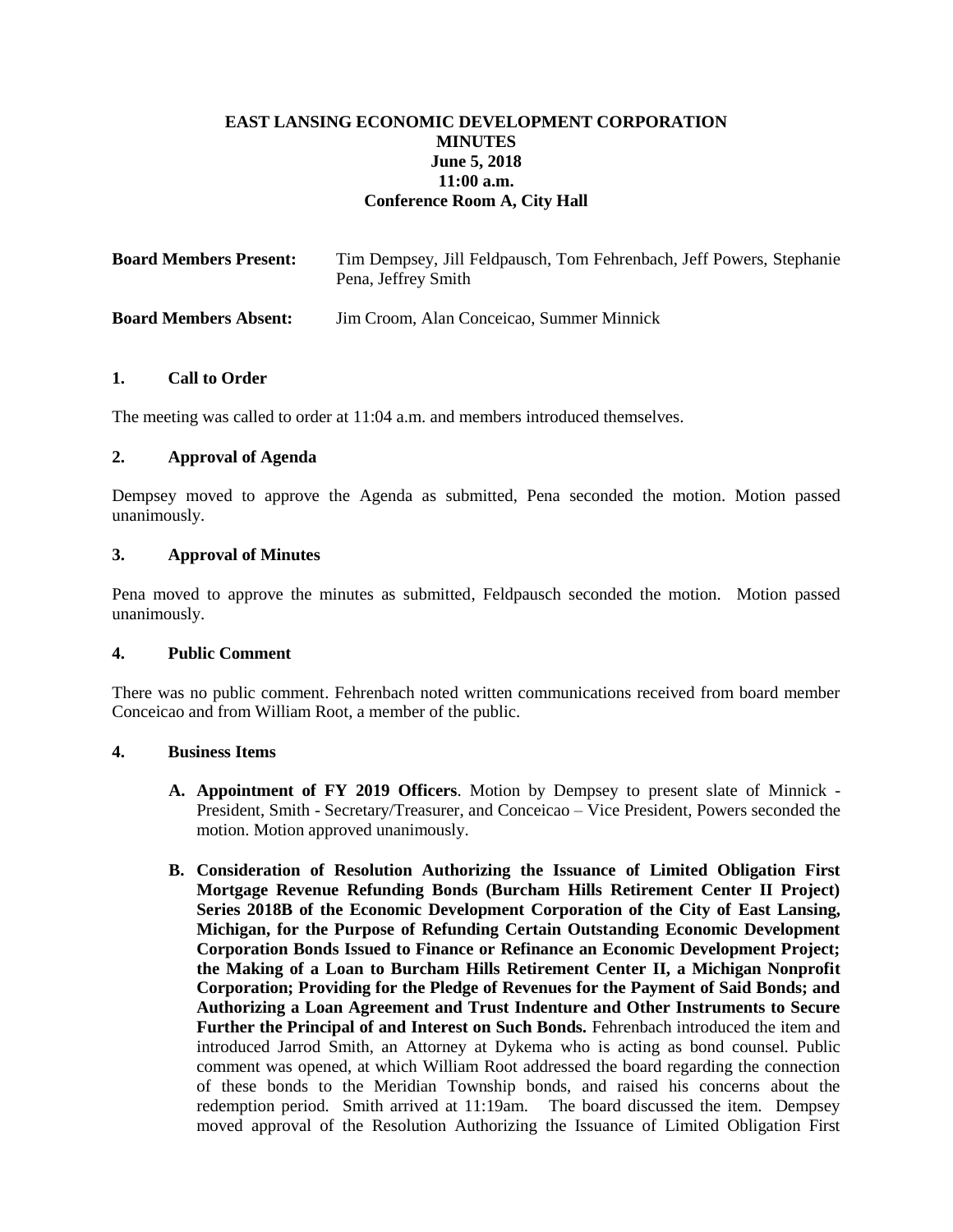# **EAST LANSING ECONOMIC DEVELOPMENT CORPORATION MINUTES June 5, 2018 11:00 a.m. Conference Room A, City Hall**

| <b>Board Members Present:</b> | Tim Dempsey, Jill Feldpausch, Tom Fehrenbach, Jeff Powers, Stephanie<br>Pena, Jeffrey Smith |
|-------------------------------|---------------------------------------------------------------------------------------------|
| <b>Board Members Absent:</b>  | Jim Croom, Alan Conceicao, Summer Minnick                                                   |

### **1. Call to Order**

The meeting was called to order at 11:04 a.m. and members introduced themselves.

## **2. Approval of Agenda**

Dempsey moved to approve the Agenda as submitted, Pena seconded the motion. Motion passed unanimously.

### **3. Approval of Minutes**

Pena moved to approve the minutes as submitted, Feldpausch seconded the motion. Motion passed unanimously.

#### **4. Public Comment**

There was no public comment. Fehrenbach noted written communications received from board member Conceicao and from William Root, a member of the public.

#### **4. Business Items**

- **A. Appointment of FY 2019 Officers**. Motion by Dempsey to present slate of Minnick President, Smith - Secretary/Treasurer, and Conceicao – Vice President, Powers seconded the motion. Motion approved unanimously.
- **B. Consideration of Resolution Authorizing the Issuance of Limited Obligation First Mortgage Revenue Refunding Bonds (Burcham Hills Retirement Center II Project) Series 2018B of the Economic Development Corporation of the City of East Lansing, Michigan, for the Purpose of Refunding Certain Outstanding Economic Development Corporation Bonds Issued to Finance or Refinance an Economic Development Project; the Making of a Loan to Burcham Hills Retirement Center II, a Michigan Nonprofit Corporation; Providing for the Pledge of Revenues for the Payment of Said Bonds; and Authorizing a Loan Agreement and Trust Indenture and Other Instruments to Secure Further the Principal of and Interest on Such Bonds.** Fehrenbach introduced the item and introduced Jarrod Smith, an Attorney at Dykema who is acting as bond counsel. Public comment was opened, at which William Root addressed the board regarding the connection of these bonds to the Meridian Township bonds, and raised his concerns about the redemption period. Smith arrived at 11:19am. The board discussed the item. Dempsey moved approval of the Resolution Authorizing the Issuance of Limited Obligation First